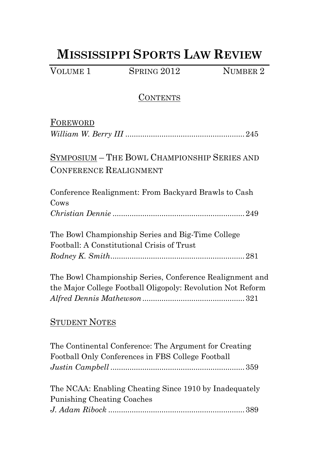# **MISSISSIPPI SPORTS LAW REVIEW**

VOLUME 1 SPRING 2012 NUMBER 2

#### **CONTENTS**

| FOREWORD                                                                                                                |
|-------------------------------------------------------------------------------------------------------------------------|
|                                                                                                                         |
| SYMPOSIUM - THE BOWL CHAMPIONSHIP SERIES AND                                                                            |
| <b>CONFERENCE REALIGNMENT</b>                                                                                           |
| Conference Realignment: From Backyard Brawls to Cash<br>Cows                                                            |
|                                                                                                                         |
| The Bowl Championship Series and Big-Time College<br>Football: A Constitutional Crisis of Trust                         |
| The Bowl Championship Series, Conference Realignment and<br>the Major College Football Oligopoly: Revolution Not Reform |
| <b>STUDENT NOTES</b>                                                                                                    |
| The Continental Conference: The Argument for Creating                                                                   |

Football Only Conferences in FBS College Football *Justin Campbell* ............................................................... 359 The NCAA: Enabling Cheating Since 1910 by Inadequately Punishing Cheating Coaches *J. Adam Ribock* ................................................................ 389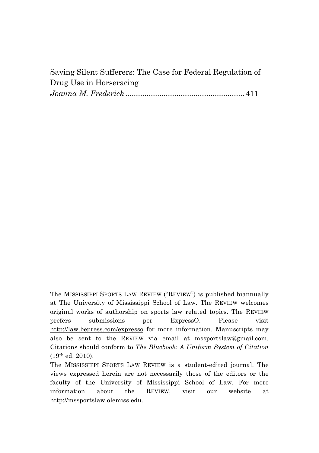| Saving Silent Sufferers: The Case for Federal Regulation of |
|-------------------------------------------------------------|
| Drug Use in Horseracing                                     |
|                                                             |

The MISSISSIPPI SPORTS LAW REVIEW ("REVIEW") is published biannually at The University of Mississippi School of Law. The REVIEW welcomes original works of authorship on sports law related topics. The REVIEW prefers submissions per ExpressO. Please visit http://law.bepress.com/expresso for more information. Manuscripts may also be sent to the REVIEW via email at mssportslaw@gmail.com. Citations should conform to *The Bluebook: A Uniform System of Citation* (19th ed. 2010).

The MISSISSIPPI SPORTS LAW REVIEW is a student-edited journal. The views expressed herein are not necessarily those of the editors or the faculty of the University of Mississippi School of Law. For more information about the REVIEW, visit our website at http://mssportslaw.olemiss.edu.